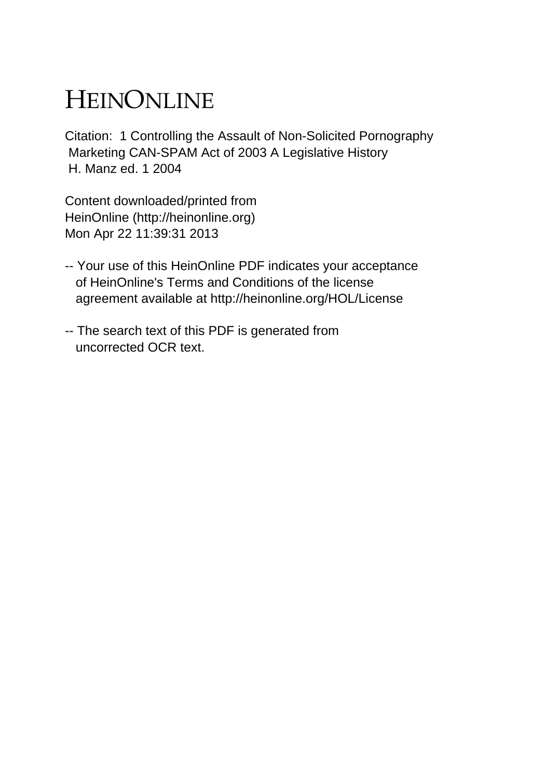# HEINONLINE

Citation: 1 Controlling the Assault of Non-Solicited Pornography Marketing CAN-SPAM Act of 2003 A Legislative History H. Manz ed. 1 2004

Content downloaded/printed from HeinOnline (http://heinonline.org) Mon Apr 22 11:39:31 2013

- -- Your use of this HeinOnline PDF indicates your acceptance of HeinOnline's Terms and Conditions of the license agreement available at http://heinonline.org/HOL/License
- -- The search text of this PDF is generated from uncorrected OCR text.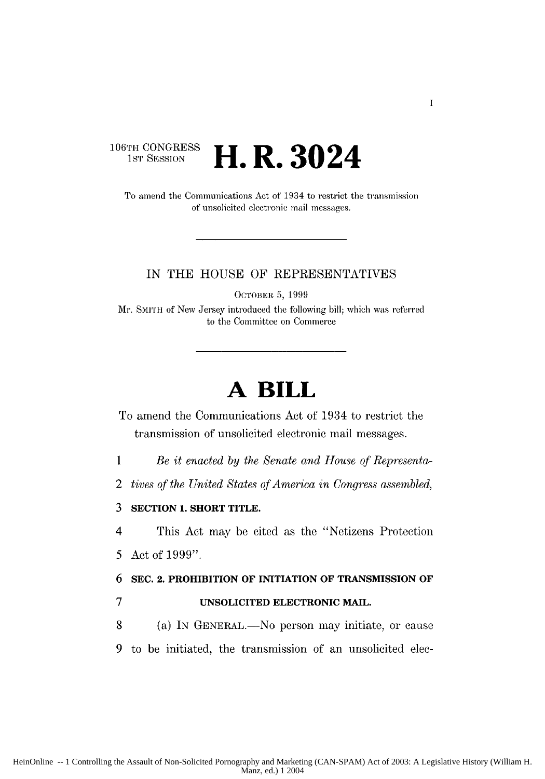# 106TH CONGRESS<br>1st Session **ST SESSION H.R. 3024**

To amend the Communications Act of 1934 to restrict the transmission of unsolicited electronic mail messages.

### IN THE HOUSE OF REPRESENTATIVES

OCTOBER 5, 1999 Mr. SMIri of New Jersey introduced the following bill; which was referred to the Committee on Commerce

# **A BILL**

To amend the Communications Act of 1934 to restrict the transmission of unsolicited electronic mail messages.

- *1 Be it enacted by the Senate and House of Representa-*
- 2 *tives of the United States of America in Congress assembled,*
- **3 SECTION 1. SHORT TITLE.**
- 4 This Act may be cited as the "Netizens Protection
- 5 Act of 1999".
- 6 **SEC.** 2. PROHIBITION OF INITIATION OF TRANSMISSION OF
- 7 **UNSOLICITED ELECTRONIC MAIL.**
- 8 (a) IN GENERAL.—No person may initiate, or cause
- 9 to be initiated, the transmission of an unsolicited elec-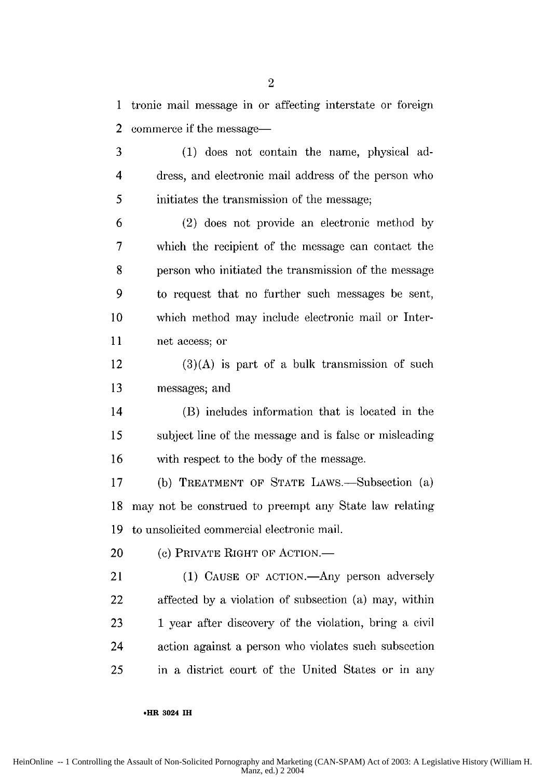1 tronic mail message in or affecting interstate or foreign 2 commerce if the message—

3 (1) does not contain the name, physical ad-4 dress, and electronic mail address of the person who 5 initiates the transmission of the message;

6 (2) does not provide an electronic method by 7 which the recipient of the message can contact the 8 person who initiated the transmission of the message 9 to request that no further such messages be sent, 10 which method may include electronic mail or Inter-11 net access; or

 $12$  (3)(A) is part of a bulk transmission of such 13 messages; and

14 (B) includes information that is located in the 15 subject line of the message and is false or misleading 16 with respect to the body of the message.

**17** (b) TREATMENT OF **STATE** LAws.-Subsection (a) 18 may not be construed to preempt any State law relating 19 to unsolicited commercial electronic mail.

20 (c) PRIVATE RIGHT OF ACTION.

21 (1) CAUSE OF ACTION.—Any person adversely 22 affected by a violation of subsection (a) may, within 23 **1** year after discovery of the violation, bring a civil 24 action against a person who violates such subsection 25 in a district court of the United States or in any

#### **.HR 3024 IH**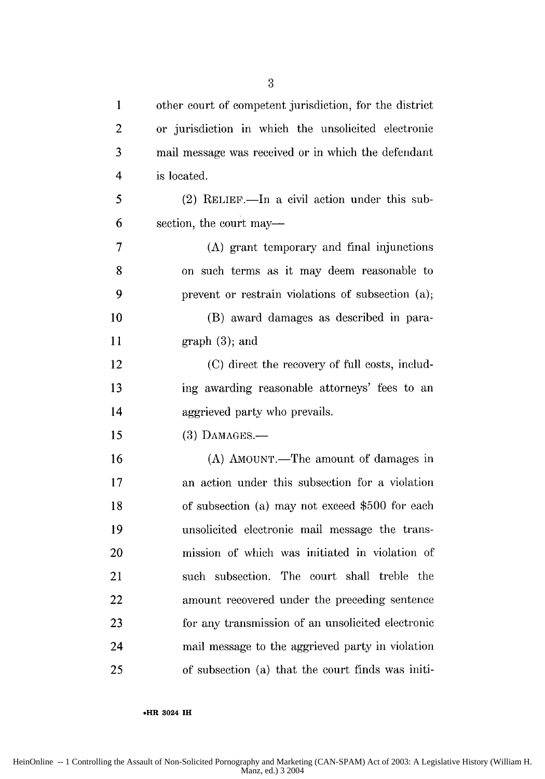| 1              | other court of competent jurisdiction, for the district |
|----------------|---------------------------------------------------------|
| $\overline{c}$ | or jurisdiction in which the unsolicited electronic     |
| 3              | mail message was received or in which the defendant     |
| $\overline{4}$ | is located.                                             |
| 5              | $(2)$ RELIEF.—In a civil action under this sub-         |
| 6              | section, the court may—                                 |
| $\overline{7}$ | (A) grant temporary and final injunctions               |
| 8              | on such terms as it may deem reasonable to              |
| 9              | prevent or restrain violations of subsection (a);       |
| 10             | (B) award damages as described in para-                 |
| 11             | $graph(3)$ ; and                                        |
| 12             | (C) direct the recovery of full costs, includ-          |
| 13             | ing awarding reasonable attorneys' fees to an           |
| 14             | aggrieved party who prevails.                           |
| 15             | $(3)$ DAMAGES. $-$                                      |
| 16             | (A) AMOUNT.—The amount of damages in                    |
| 17             | an action under this subsection for a violation         |
| 18             | of subsection (a) may not exceed \$500 for each         |
| 19             | unsolicited electronic mail message the trans-          |
| 20             | mission of which was initiated in violation of          |
| 21             | such subsection. The court shall treble the             |
| 22             | amount recovered under the preceding sentence           |
| 23             | for any transmission of an unsolicited electronic       |
| 24             | mail message to the aggrieved party in violation        |
| 25             | of subsection (a) that the court finds was initi-       |

**.HR 3024 IH**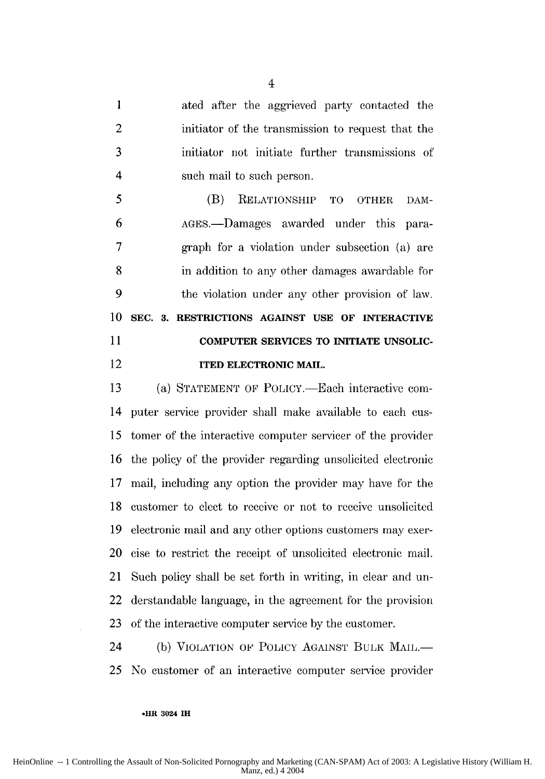1 ated after the aggrieved party contacted the 2 initiator of the transmission to request that the 3 initiator not initiate further transmissions of 4 such mail to such person.

5 (B) RELATIONSHIP TO OTHER DAM-6 AGES.-Damages awarded under this para-7 graph for a violation under subsection (a) are 8 in addition to any other damages awardable for 9 the violation under any other provision of law. **10 SEC. 3. RESTRICTIONS AGAINST USE OF INTERACTIVE 11 COMPUTER SERVICES TO INITIATE UNSOLIC-**12 **ITED ELECTRONIC MAIL.**

13 (a) STATEMENT OF POLICY.—Each interactive com-14 puter service provider shall make available to each eus-15 tomer of the interactive computer servicer of the provider 16 the policy of the provider regarding unsolicited electronic 17 mail, including any option the provider may have for the 18 customer to elect to receive or not to receive unsolicited 19 electronic mail and any other options customers may exer-20 eise to restrict the receipt of unsolicited electronic mail. 21 Such policy shall be set forth in writing, in clear and un-22 derstandable language, in the agreement for the provision 23 of the interactive computer service by the customer.

24 (b) VIOLATION OF POLICY AGAINST BULK MAIL. 25 No customer of an interactive computer service provider

#### • **HR 3024 IH**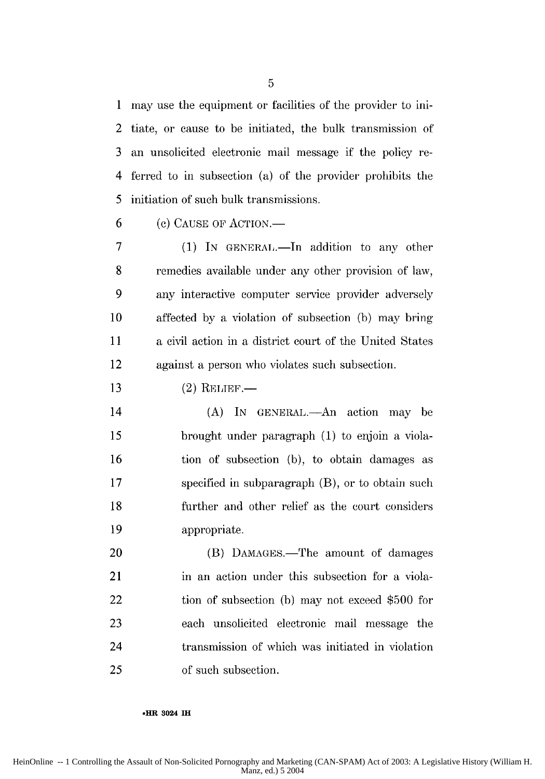1 may use the equipment or facilities of the provider to ini-2 tiate, or cause to be initiated, the bulk transmission of 3 an unsolicited electronic mail message if the policy re-4 ferred to in subsection (a) of the provider prohibits the 5 initiation of such bulk transmissions.

6 **(C)** CAUSE OF ACTION.-

7 (1) IN GENERAL.—In addition to any other 8 remedies available under any other provision of law, 9 any interactive computer service provider adversely **10** affected by a violation of subsection (b) may bring 11 a civil action in a district court of the United States 12 against a person who violates such subsection.

13 (2) RELIEF.

14 (A) IN GENERAL.—An action may be 15 brought under paragraph (1) to enjoin a viola-16 tion of subsection (b), to obtain damages as 17 specified in subparagraph (B), or to obtain such 18 further and other relief as the court considers 19 appropriate.

20 (B) DAMAGES.—The amount of damages 21 in an action under this subsection for a viola-22 tion of subsection (b) may not exceed \$500 for 23 each unsolicited electronic mail message the 24 transmission of which was initiated in violation 25 of such subsection.

**-HiR 3024 IH**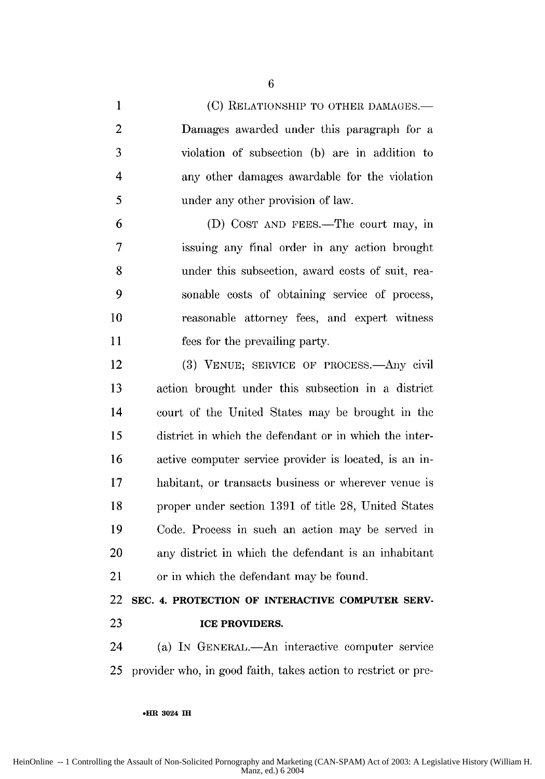| $\mathbf{1}$ | (C) RELATIONSHIP TO OTHER DAMAGES.—                           |
|--------------|---------------------------------------------------------------|
| 2            | Damages awarded under this paragraph for a                    |
| 3            | violation of subsection (b) are in addition to                |
| 4            | any other damages awardable for the violation                 |
| 5            | under any other provision of law.                             |
| 6            | (D) COST AND FEES.—The court may, in                          |
| 7            | issuing any final order in any action brought                 |
| 8            | under this subsection, award costs of suit, rea-              |
| 9            | sonable costs of obtaining service of process,                |
| 10           | reasonable attorney fees, and expert witness                  |
| 11           | fees for the prevailing party.                                |
| 12           | (3) VENUE; SERVICE OF PROCESS.—Any civil                      |
| 13           | action brought under this subsection in a district            |
| 14           | court of the United States may be brought in the              |
| 15           | district in which the defendant or in which the inter-        |
| 16           | active computer service provider is located, is an in-        |
| 17           | habitant, or transacts business or wherever venue is          |
| 18           | proper under section 1391 of title 28, United States          |
| 19           | Code. Process in such an action may be served in              |
| 20           | any district in which the defendant is an inhabitant          |
| 21           | or in which the defendant may be found.                       |
| 22           | SEC. 4. PROTECTION OF INTERACTIVE COMPUTER SERV-              |
| 23           | ICE PROVIDERS.                                                |
| 24           | (a) IN GENERAL.—An interactive computer service               |
| 25           | provider who, in good faith, takes action to restrict or pre- |

**.fHR 3024 IH**

**6**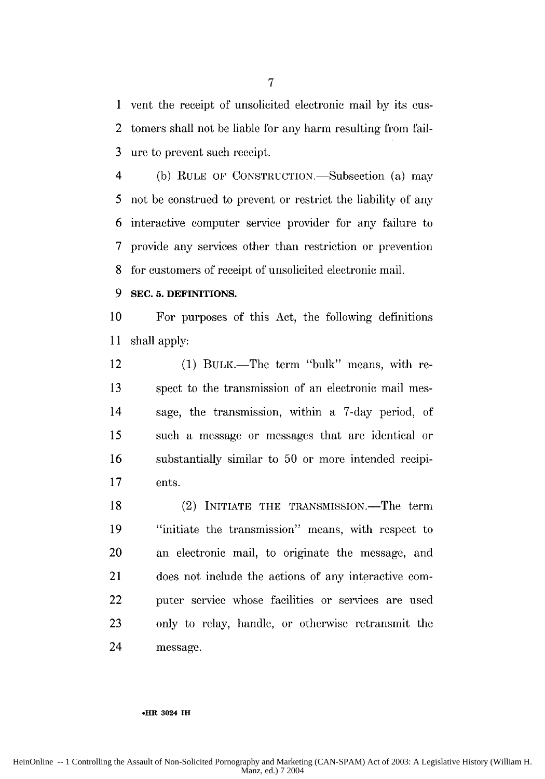1 vent the receipt of unsolicited electronic mail by its cus-2 tomers shall not be liable for any harm resulting from fail-3 ure to prevent such receipt.

4 (b) RULE OF CONSTRUCTION.—Subsection (a) may 5 not be construed to prevent or restrict the liability of any 6 interactive computer service provider for any failure to 7 provide any services other than restriction or prevention 8 for customers of receipt of unsolicited electronic mail.

### **9 SEC. 5. DEFINITIONS.**

10 For purposes of this Act, the following definitions 11 shall apply:

12 (1) BULK.—The term "bulk" means, with re-13 spect to the transmission of an electronic mail mes-14 sage, the transmission, within a 7-day period, of 15 such a message or messages that are identical or 16 substantially similar to 50 or more intended recipi-17 ents.

18 (2) INITIATE THE TRANSMISSION.—The term 19 "initiate the transmission" means, with respect to 20 an electronic mail, to originate the message, and 21 does not include the actions of any interactive com-22 puter service whose facilities or services are used 23 only to relay, handle, or otherwise retransmit the 24 message.

#### **.1HR1 3024 IH**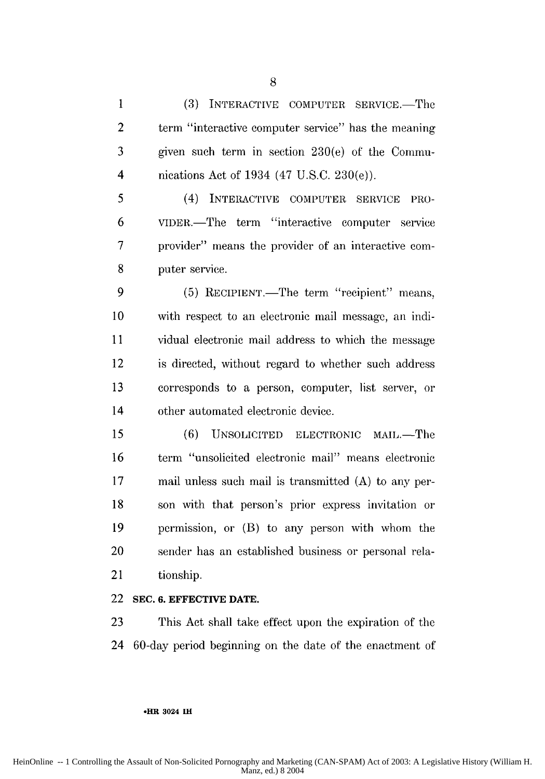1 (3) INTERACTIVE COMPUTER SERVICE.—The 2 term "interactive computer service" has the meaning 3 given such term in section 230(e) of the Comru-4 nications Act of 1934 (47 U.S.C. 230(e)).

5 (4) INTERACTIVE COMPUTER SERVICE PRO-6 VIDER.-The term "interactive computer service 7 provider" means the provider of an interactive com-8 puter service.

9 (5) RECIPIENT.—The term "recipient" means, **10** with respect to an electronic mail message, an indi-11 vidual electronic mail address to which the message 12 is directed, without regard to whether such address 13 corresponds to a person, computer, list server, or 14 other automated electronic device.

15 (6) UNSOLICITED ELECTRONIC MAIL.—The 16 term "unsolicited electronic mail" means electronic 17 mail unless such mail is transmitted (A) to any per-18 son with that person's prior express invitation or 19 permission, or (B) to any person with whom the 20 sender has an established business or personal rela-21 tionship.

## 22 **SEC. 6. EFFECTIVE DATE.**

23 This Act shall take effect upon the expiration of the 24 60-day period beginning on the date of the enactment of

#### **.In 3024 IH**

**8**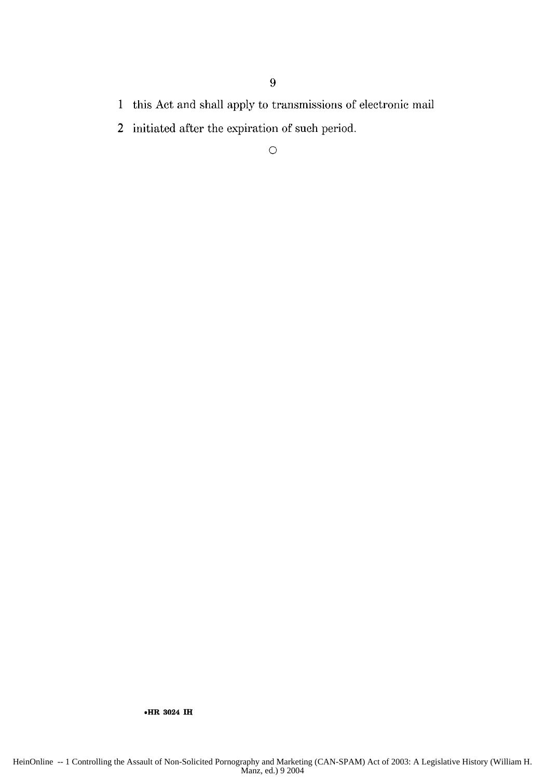- 1 this Act and shall apply to transmissions of electronic mail
- 2 initiated after the expiration of such period.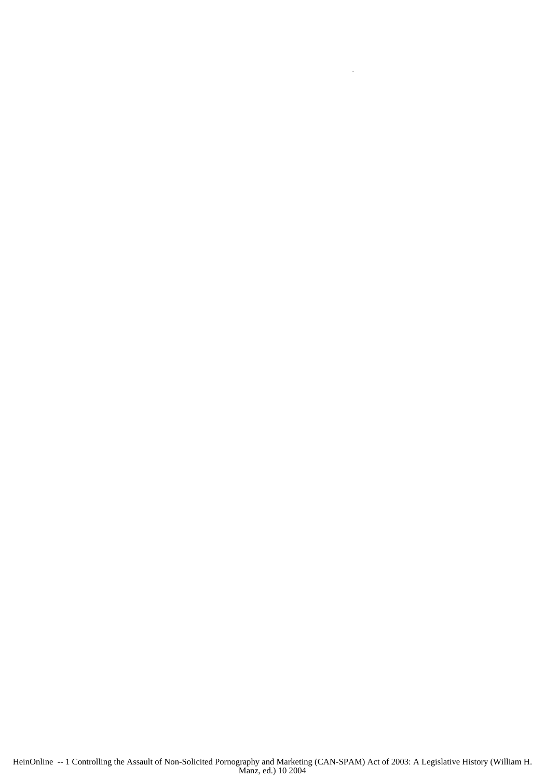HeinOnline -- 1 Controlling the Assault of Non-Solicited Pornography and Marketing (CAN-SPAM) Act of 2003: A Legislative History (William H. Manz, ed.) 10 2004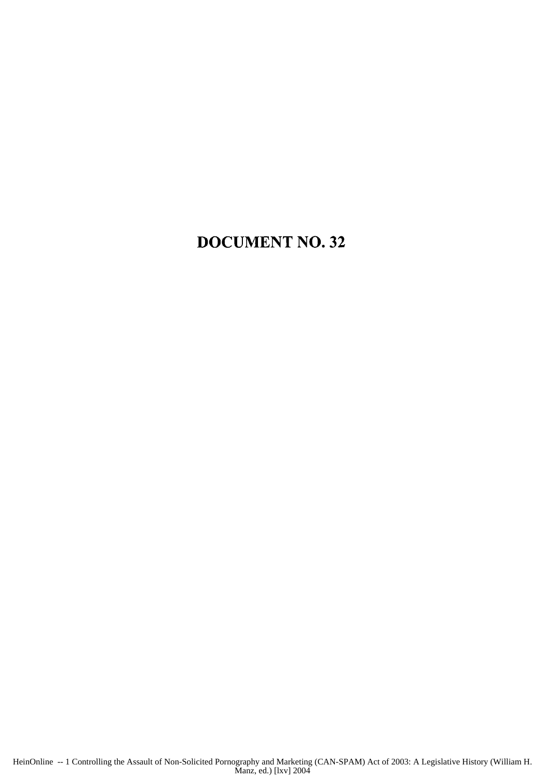# **DOCUMENT NO. 32**